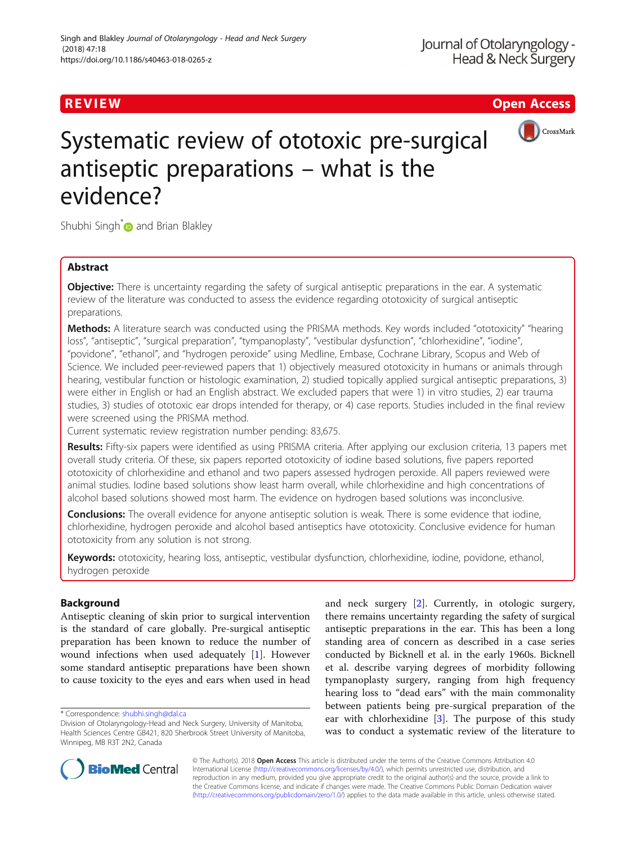# R EVI EW Open Access



# Systematic review of ototoxic pre-surgical antiseptic preparations – what is the evidence?

Shubhi Singh<sup>\*</sup> and Brian Blakley

# Abstract

**Objective:** There is uncertainty regarding the safety of surgical antiseptic preparations in the ear. A systematic review of the literature was conducted to assess the evidence regarding ototoxicity of surgical antiseptic preparations.

Methods: A literature search was conducted using the PRISMA methods. Key words included "ototoxicity" "hearing loss", "antiseptic", "surgical preparation", "tympanoplasty", "vestibular dysfunction", "chlorhexidine", "iodine", "povidone", "ethanol", and "hydrogen peroxide" using Medline, Embase, Cochrane Library, Scopus and Web of Science. We included peer-reviewed papers that 1) objectively measured ototoxicity in humans or animals through hearing, vestibular function or histologic examination, 2) studied topically applied surgical antiseptic preparations, 3) were either in English or had an English abstract. We excluded papers that were 1) in vitro studies, 2) ear trauma studies, 3) studies of ototoxic ear drops intended for therapy, or 4) case reports. Studies included in the final review were screened using the PRISMA method.

Current systematic review registration number pending: 83,675.

Results: Fifty-six papers were identified as using PRISMA criteria. After applying our exclusion criteria, 13 papers met overall study criteria. Of these, six papers reported ototoxicity of iodine based solutions, five papers reported ototoxicity of chlorhexidine and ethanol and two papers assessed hydrogen peroxide. All papers reviewed were animal studies. Iodine based solutions show least harm overall, while chlorhexidine and high concentrations of alcohol based solutions showed most harm. The evidence on hydrogen based solutions was inconclusive.

**Conclusions:** The overall evidence for anyone antiseptic solution is weak. There is some evidence that iodine, chlorhexidine, hydrogen peroxide and alcohol based antiseptics have ototoxicity. Conclusive evidence for human ototoxicity from any solution is not strong.

Keywords: ototoxicity, hearing loss, antiseptic, vestibular dysfunction, chlorhexidine, iodine, povidone, ethanol, hydrogen peroxide

# Background

Antiseptic cleaning of skin prior to surgical intervention is the standard of care globally. Pre-surgical antiseptic preparation has been known to reduce the number of wound infections when used adequately [\[1](#page-5-0)]. However some standard antiseptic preparations have been shown to cause toxicity to the eyes and ears when used in head

\* Correspondence: [shubhi.singh@dal.ca](mailto:shubhi.singh@dal.ca)

and neck surgery [\[2](#page-5-0)]. Currently, in otologic surgery, there remains uncertainty regarding the safety of surgical antiseptic preparations in the ear. This has been a long standing area of concern as described in a case series conducted by Bicknell et al. in the early 1960s. Bicknell et al. describe varying degrees of morbidity following tympanoplasty surgery, ranging from high frequency hearing loss to "dead ears" with the main commonality between patients being pre-surgical preparation of the ear with chlorhexidine [\[3](#page-5-0)]. The purpose of this study was to conduct a systematic review of the literature to



© The Author(s). 2018 Open Access This article is distributed under the terms of the Creative Commons Attribution 4.0 International License [\(http://creativecommons.org/licenses/by/4.0/](http://creativecommons.org/licenses/by/4.0/)), which permits unrestricted use, distribution, and reproduction in any medium, provided you give appropriate credit to the original author(s) and the source, provide a link to the Creative Commons license, and indicate if changes were made. The Creative Commons Public Domain Dedication waiver [\(http://creativecommons.org/publicdomain/zero/1.0/](http://creativecommons.org/publicdomain/zero/1.0/)) applies to the data made available in this article, unless otherwise stated.

Division of Otolaryngology-Head and Neck Surgery, University of Manitoba, Health Sciences Centre GB421, 820 Sherbrook Street University of Manitoba, Winnipeg, MB R3T 2N2, Canada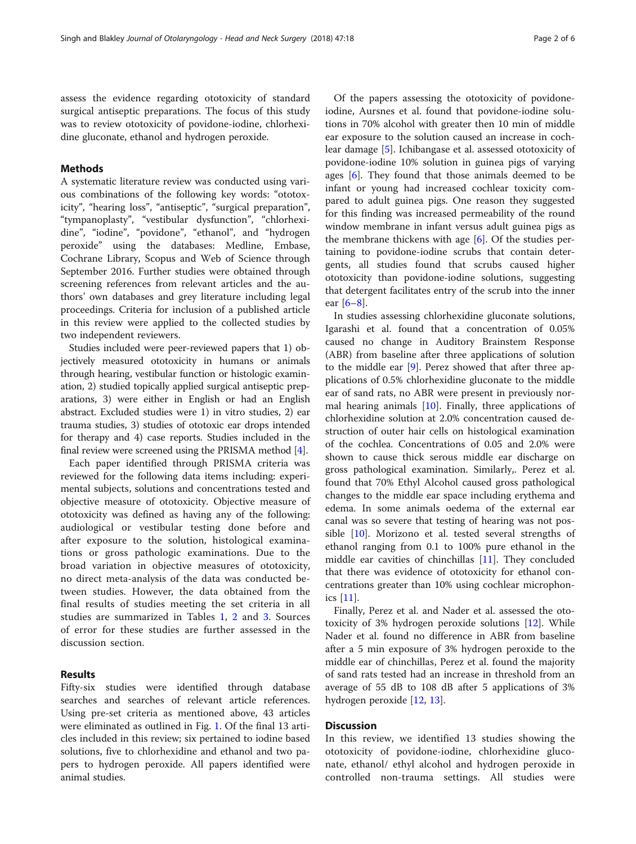assess the evidence regarding ototoxicity of standard surgical antiseptic preparations. The focus of this study was to review ototoxicity of povidone-iodine, chlorhexidine gluconate, ethanol and hydrogen peroxide.

## Methods

A systematic literature review was conducted using various combinations of the following key words: "ototoxicity", "hearing loss", "antiseptic", "surgical preparation", "tympanoplasty", "vestibular dysfunction", "chlorhexidine", "iodine", "povidone", "ethanol", and "hydrogen peroxide" using the databases: Medline, Embase, Cochrane Library, Scopus and Web of Science through September 2016. Further studies were obtained through screening references from relevant articles and the authors' own databases and grey literature including legal proceedings. Criteria for inclusion of a published article in this review were applied to the collected studies by two independent reviewers.

Studies included were peer-reviewed papers that 1) objectively measured ototoxicity in humans or animals through hearing, vestibular function or histologic examination, 2) studied topically applied surgical antiseptic preparations, 3) were either in English or had an English abstract. Excluded studies were 1) in vitro studies, 2) ear trauma studies, 3) studies of ototoxic ear drops intended for therapy and 4) case reports. Studies included in the final review were screened using the PRISMA method [[4](#page-5-0)].

Each paper identified through PRISMA criteria was reviewed for the following data items including: experimental subjects, solutions and concentrations tested and objective measure of ototoxicity. Objective measure of ototoxicity was defined as having any of the following: audiological or vestibular testing done before and after exposure to the solution, histological examinations or gross pathologic examinations. Due to the broad variation in objective measures of ototoxicity, no direct meta-analysis of the data was conducted between studies. However, the data obtained from the final results of studies meeting the set criteria in all studies are summarized in Tables [1,](#page-2-0) [2](#page-3-0) and [3.](#page-4-0) Sources of error for these studies are further assessed in the discussion section.

# Results

Fifty-six studies were identified through database searches and searches of relevant article references. Using pre-set criteria as mentioned above, 43 articles were eliminated as outlined in Fig. [1.](#page-4-0) Of the final 13 articles included in this review; six pertained to iodine based solutions, five to chlorhexidine and ethanol and two papers to hydrogen peroxide. All papers identified were animal studies.

Of the papers assessing the ototoxicity of povidoneiodine, Aursnes et al. found that povidone-iodine solutions in 70% alcohol with greater then 10 min of middle ear exposure to the solution caused an increase in cochlear damage [\[5](#page-5-0)]. Ichibangase et al. assessed ototoxicity of povidone-iodine 10% solution in guinea pigs of varying ages  $[6]$  $[6]$ . They found that those animals deemed to be infant or young had increased cochlear toxicity compared to adult guinea pigs. One reason they suggested for this finding was increased permeability of the round window membrane in infant versus adult guinea pigs as the membrane thickens with age  $[6]$  $[6]$ . Of the studies pertaining to povidone-iodine scrubs that contain detergents, all studies found that scrubs caused higher ototoxicity than povidone-iodine solutions, suggesting that detergent facilitates entry of the scrub into the inner ear [\[6](#page-5-0)–[8](#page-5-0)].

In studies assessing chlorhexidine gluconate solutions, Igarashi et al. found that a concentration of 0.05% caused no change in Auditory Brainstem Response (ABR) from baseline after three applications of solution to the middle ear [\[9](#page-5-0)]. Perez showed that after three applications of 0.5% chlorhexidine gluconate to the middle ear of sand rats, no ABR were present in previously normal hearing animals  $[10]$  $[10]$ . Finally, three applications of chlorhexidine solution at 2.0% concentration caused destruction of outer hair cells on histological examination of the cochlea. Concentrations of 0.05 and 2.0% were shown to cause thick serous middle ear discharge on gross pathological examination. Similarly,. Perez et al. found that 70% Ethyl Alcohol caused gross pathological changes to the middle ear space including erythema and edema. In some animals oedema of the external ear canal was so severe that testing of hearing was not possible [[10](#page-5-0)]. Morizono et al. tested several strengths of ethanol ranging from 0.1 to 100% pure ethanol in the middle ear cavities of chinchillas [[11\]](#page-5-0). They concluded that there was evidence of ototoxicity for ethanol concentrations greater than 10% using cochlear microphonics [[11](#page-5-0)].

Finally, Perez et al. and Nader et al. assessed the ototoxicity of 3% hydrogen peroxide solutions [\[12](#page-5-0)]. While Nader et al. found no difference in ABR from baseline after a 5 min exposure of 3% hydrogen peroxide to the middle ear of chinchillas, Perez et al. found the majority of sand rats tested had an increase in threshold from an average of 55 dB to 108 dB after 5 applications of 3% hydrogen peroxide [\[12](#page-5-0), [13](#page-5-0)].

# **Discussion**

In this review, we identified 13 studies showing the ototoxicity of povidone-iodine, chlorhexidine gluconate, ethanol/ ethyl alcohol and hydrogen peroxide in controlled non-trauma settings. All studies were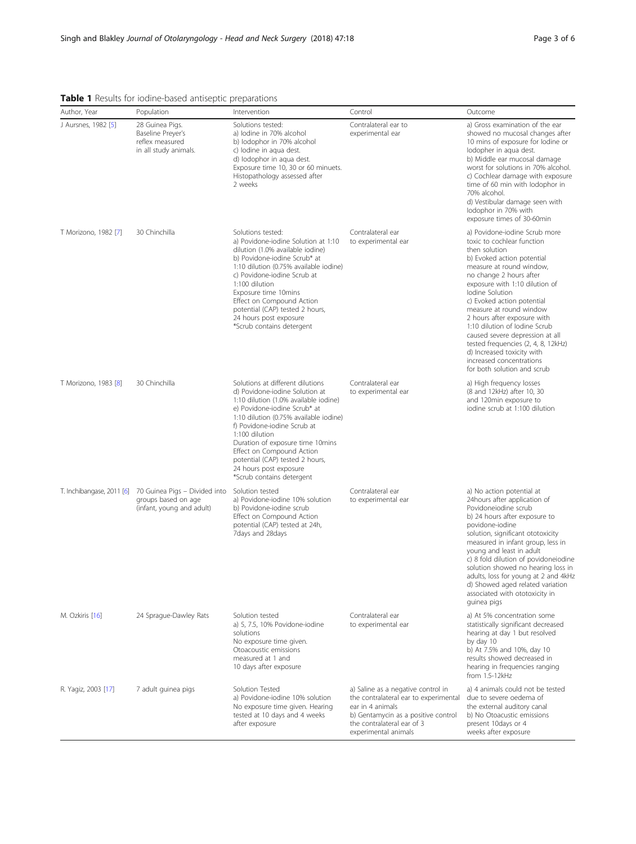# <span id="page-2-0"></span>Table 1 Results for iodine-based antiseptic preparations

| Author, Year         | Population                                                                                                  | Intervention                                                                                                                                                                                                                                                                                                                                                                                      | Control                                                                                                                                                                                      | Outcome                                                                                                                                                                                                                                                                                                                                                                                                                                                                                                            |
|----------------------|-------------------------------------------------------------------------------------------------------------|---------------------------------------------------------------------------------------------------------------------------------------------------------------------------------------------------------------------------------------------------------------------------------------------------------------------------------------------------------------------------------------------------|----------------------------------------------------------------------------------------------------------------------------------------------------------------------------------------------|--------------------------------------------------------------------------------------------------------------------------------------------------------------------------------------------------------------------------------------------------------------------------------------------------------------------------------------------------------------------------------------------------------------------------------------------------------------------------------------------------------------------|
| J Aursnes, 1982 [5]  | 28 Guinea Pigs.<br>Baseline Preyer's<br>reflex measured<br>in all study animals.                            | Solutions tested:<br>a) lodine in 70% alcohol<br>b) lodophor in 70% alcohol<br>c) lodine in aqua dest.<br>d) lodophor in aqua dest.<br>Exposure time 10, 30 or 60 minuets.<br>Histopathology assessed after<br>2 weeks                                                                                                                                                                            | Contralateral ear to<br>experimental ear                                                                                                                                                     | a) Gross examination of the ear<br>showed no mucosal changes after<br>10 mins of exposure for lodine or<br>lodopher in aqua dest.<br>b) Middle ear mucosal damage<br>worst for solutions in 70% alcohol.<br>c) Cochlear damage with exposure<br>time of 60 min with lodophor in<br>70% alcohol.<br>d) Vestibular damage seen with<br>lodophor in 70% with<br>exposure times of 30-60min                                                                                                                            |
| T Morizono, 1982 [7] | 30 Chinchilla                                                                                               | Solutions tested:<br>a) Povidone-jodine Solution at 1:10<br>dilution (1.0% available iodine)<br>b) Povidone-iodine Scrub* at<br>1:10 dilution (0.75% available iodine)<br>c) Povidone-iodine Scrub at<br>1:100 dilution<br>Exposure time 10mins<br>Effect on Compound Action<br>potential (CAP) tested 2 hours,<br>24 hours post exposure<br>*Scrub contains detergent                            | Contralateral ear<br>to experimental ear                                                                                                                                                     | a) Povidone-iodine Scrub more<br>toxic to cochlear function<br>then solution<br>b) Evoked action potential<br>measure at round window,<br>no change 2 hours after<br>exposure with 1:10 dilution of<br>Iodine Solution<br>c) Evoked action potential<br>measure at round window<br>2 hours after exposure with<br>1:10 dilution of lodine Scrub<br>caused severe depression at all<br>tested frequencies (2, 4, 8, 12kHz)<br>d) Increased toxicity with<br>increased concentrations<br>for both solution and scrub |
| T Morizono, 1983 [8] | 30 Chinchilla                                                                                               | Solutions at different dilutions<br>d) Povidone-iodine Solution at<br>1:10 dilution (1.0% available iodine)<br>e) Povidone-iodine Scrub* at<br>1:10 dilution (0.75% available iodine)<br>f) Povidone-iodine Scrub at<br>1:100 dilution<br>Duration of exposure time 10mins<br>Effect on Compound Action<br>potential (CAP) tested 2 hours,<br>24 hours post exposure<br>*Scrub contains detergent | Contralateral ear<br>to experimental ear                                                                                                                                                     | a) High frequency losses<br>(8 and 12kHz) after 10, 30<br>and 120min exposure to<br>iodine scrub at 1:100 dilution                                                                                                                                                                                                                                                                                                                                                                                                 |
|                      | T. Inchibangase, 2011 [6] 70 Guinea Pigs - Divided into<br>groups based on age<br>(infant, young and adult) | Solution tested<br>a) Povidone-iodine 10% solution<br>b) Povidone-iodine scrub<br>Effect on Compound Action<br>potential (CAP) tested at 24h,<br>7days and 28days                                                                                                                                                                                                                                 | Contralateral ear<br>to experimental ear                                                                                                                                                     | a) No action potential at<br>24 hours after application of<br>Povidoneiodine scrub<br>b) 24 hours after exposure to<br>povidone-iodine<br>solution, significant ototoxicity<br>measured in infant group, less in<br>young and least in adult<br>c) 8 fold dilution of povidoneiodine<br>solution showed no hearing loss in<br>adults, loss for young at 2 and 4kHz<br>d) Showed aged related variation<br>associated with ototoxicity in<br>guinea pigs                                                            |
| M. Ozkiris [16]      | 24 Sprague-Dawley Rats                                                                                      | Solution tested<br>a) 5, 7.5, 10% Povidone-iodine<br>solutions<br>No exposure time given.<br>Otoacoustic emissions<br>measured at 1 and<br>10 days after exposure                                                                                                                                                                                                                                 | Contralateral ear<br>to experimental ear                                                                                                                                                     | a) At 5% concentration some<br>statistically significant decreased<br>hearing at day 1 but resolved<br>by day 10<br>b) At 7.5% and 10%, day 10<br>results showed decreased in<br>hearing in frequencies ranging<br>from 1.5-12kHz                                                                                                                                                                                                                                                                                  |
| R. Yagiz, 2003 [17]  | 7 adult guinea pigs                                                                                         | Solution Tested<br>a) Povidone-jodine 10% solution<br>No exposure time given. Hearing<br>tested at 10 days and 4 weeks<br>after exposure                                                                                                                                                                                                                                                          | a) Saline as a negative control in<br>the contralateral ear to experimental<br>ear in 4 animals<br>b) Gentamycin as a positive control<br>the contralateral ear of 3<br>experimental animals | a) 4 animals could not be tested<br>due to severe oedema of<br>the external auditory canal<br>b) No Otoacustic emissions<br>present 10days or 4<br>weeks after exposure                                                                                                                                                                                                                                                                                                                                            |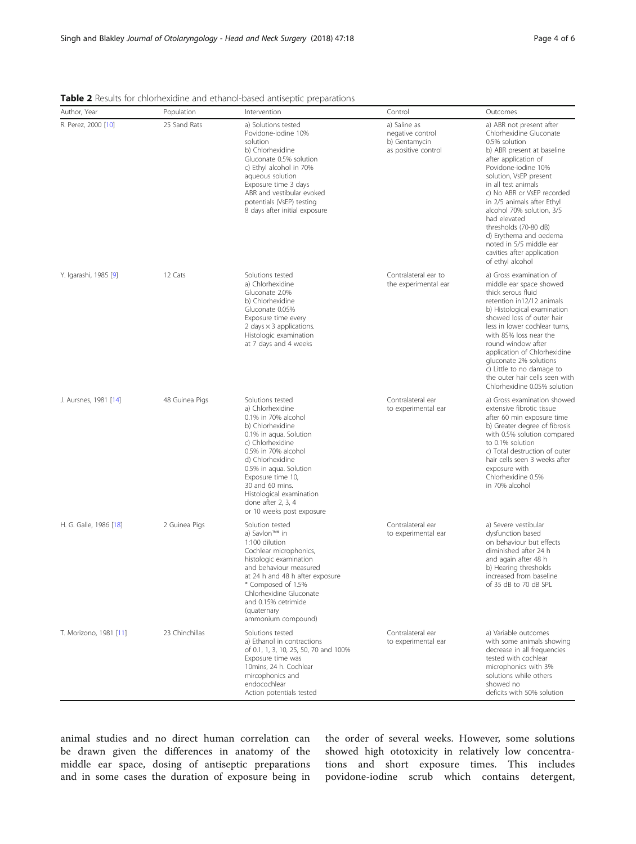| Author, Year           | Population     | emorrestante ana etnanor pasea antiseptie preparations<br>Intervention                                                                                                                                                                                                                                                      | Control                                                                  | Outcomes                                                                                                                                                                                                                                                                                                                                                                                                                                    |
|------------------------|----------------|-----------------------------------------------------------------------------------------------------------------------------------------------------------------------------------------------------------------------------------------------------------------------------------------------------------------------------|--------------------------------------------------------------------------|---------------------------------------------------------------------------------------------------------------------------------------------------------------------------------------------------------------------------------------------------------------------------------------------------------------------------------------------------------------------------------------------------------------------------------------------|
| R. Perez, 2000 [10]    | 25 Sand Rats   | a) Solutions tested<br>Povidone-iodine 10%<br>solution<br>b) Chlorhexidine<br>Gluconate 0.5% solution<br>c) Ethyl alcohol in 70%<br>aqueous solution<br>Exposure time 3 days<br>ABR and vestibular evoked<br>potentials (VsEP) testing<br>8 days after initial exposure                                                     | a) Saline as<br>negative control<br>b) Gentamycin<br>as positive control | a) ABR not present after<br>Chlorhexidine Gluconate<br>0.5% solution<br>b) ABR present at baseline<br>after application of<br>Povidone-iodine 10%<br>solution, VsEP present<br>in all test animals<br>c) No ABR or VsEP recorded<br>in 2/5 animals after Ethyl<br>alcohol 70% solution, 3/5<br>had elevated<br>thresholds (70-80 dB)<br>d) Erythema and oedema<br>noted in 5/5 middle ear<br>cavities after application<br>of ethyl alcohol |
| Y. Igarashi, 1985 [9]  | 12 Cats        | Solutions tested<br>a) Chlorhexidine<br>Gluconate 2.0%<br>b) Chlorhexidine<br>Gluconate 0.05%<br>Exposure time every<br>2 days $\times$ 3 applications.<br>Histologic examination<br>at 7 days and 4 weeks                                                                                                                  | Contralateral ear to<br>the experimental ear                             | a) Gross examination of<br>middle ear space showed<br>thick serous fluid<br>retention in12/12 animals<br>b) Histological examination<br>showed loss of outer hair<br>less in lower cochlear turns.<br>with 85% loss near the<br>round window after<br>application of Chlorhexidine<br>gluconate 2% solutions<br>c) Little to no damage to<br>the outer hair cells seen with<br>Chlorhexidine 0.05% solution                                 |
| J. Aursnes, 1981 [14]  | 48 Guinea Pigs | Solutions tested<br>a) Chlorhexidine<br>0.1% in 70% alcohol<br>b) Chlorhexidine<br>0.1% in aqua. Solution<br>c) Chlorhexidine<br>0.5% in 70% alcohol<br>d) Chlorhexidine<br>0.5% in aqua. Solution<br>Exposure time 10,<br>30 and 60 mins.<br>Histological examination<br>done after $2, 3, 4$<br>or 10 weeks post exposure | Contralateral ear<br>to experimental ear                                 | a) Gross examination showed<br>extensive fibrotic tissue<br>after 60 min exposure time<br>b) Greater degree of fibrosis<br>with 0.5% solution compared<br>to 0.1% solution<br>c) Total destruction of outer<br>hair cells seen 3 weeks after<br>exposure with<br>Chlorhexidine 0.5%<br>in 70% alcohol                                                                                                                                       |
| H. G. Galle, 1986 [18] | 2 Guinea Pigs  | Solution tested<br>a) Savlon™* in<br>1:100 dilution<br>Cochlear microphonics,<br>histologic examination<br>and behaviour measured<br>at 24 h and 48 h after exposure<br>* Composed of 1.5%<br>Chlorhexidine Gluconate<br>and 0.15% cetrimide<br>(quaternary<br>ammonium compound)                                           | Contralateral ear<br>to experimental ear                                 | a) Severe vestibular<br>dysfunction based<br>on behaviour but effects<br>diminished after 24 h<br>and again after 48 h<br>b) Hearing thresholds<br>increased from baseline<br>of 35 dB to 70 dB SPL                                                                                                                                                                                                                                         |
| T. Morizono, 1981 [11] | 23 Chinchillas | Solutions tested<br>a) Ethanol in contractions<br>of 0.1, 1, 3, 10, 25, 50, 70 and 100%<br>Exposure time was<br>10mins, 24 h. Cochlear<br>mircophonics and<br>endocochlear<br>Action potentials tested                                                                                                                      | Contralateral ear<br>to experimental ear                                 | a) Variable outcomes<br>with some animals showing<br>decrease in all frequencies<br>tested with cochlear<br>microphonics with 3%<br>solutions while others<br>showed no<br>deficits with 50% solution                                                                                                                                                                                                                                       |

<span id="page-3-0"></span>Table 2 Results for chlorhexidine and ethanol-based antiseptic preparations

animal studies and no direct human correlation can be drawn given the differences in anatomy of the middle ear space, dosing of antiseptic preparations and in some cases the duration of exposure being in

the order of several weeks. However, some solutions showed high ototoxicity in relatively low concentrations and short exposure times. This includes povidone-iodine scrub which contains detergent,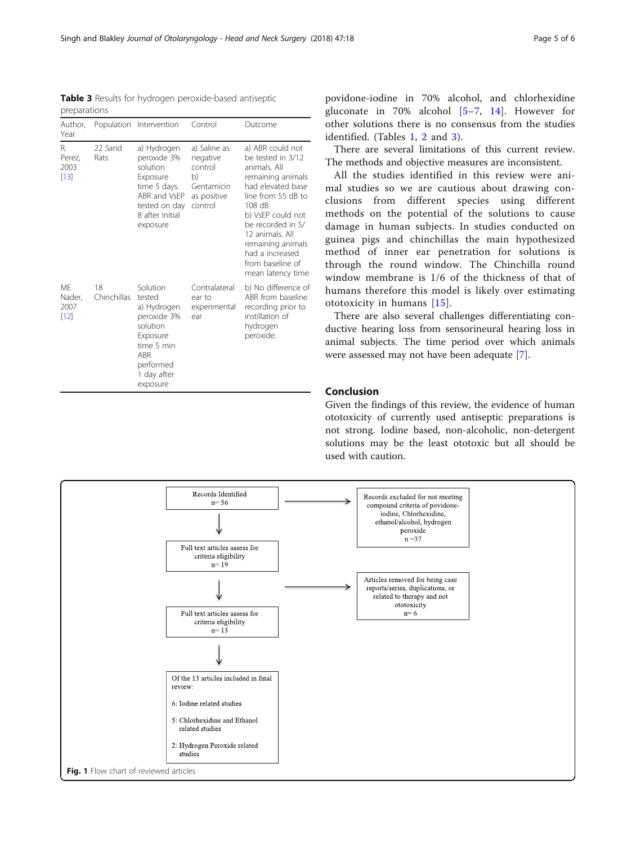Given the findings of this review, the evidence of human ototoxicity of currently used antiseptic preparations is not strong. Iodine based, non-alcoholic, non-detergent solutions may be the least ototoxic but all should be used with caution.

<span id="page-4-0"></span>Table 3 Results for hydrogen peroxide-based antiseptic preparations

| Author,<br>Year                |                   | Population Intervention                                                                                                               | Control                                                                           | Outcome                                                                                                                                                                                                                                                                       |
|--------------------------------|-------------------|---------------------------------------------------------------------------------------------------------------------------------------|-----------------------------------------------------------------------------------|-------------------------------------------------------------------------------------------------------------------------------------------------------------------------------------------------------------------------------------------------------------------------------|
| R.<br>Perez,<br>2003<br>$[13]$ | 22 Sand<br>Rats   | a) Hydrogen<br>peroxide 3%<br>solution<br>Exposure<br>time 5 days.<br>ABR and VsEP<br>tested on day<br>8 after initial<br>exposure    | a) Saline as<br>negative<br>control<br>b)<br>Gentamicin<br>as positive<br>control | a) ABR could not<br>be tested in 3/12<br>animals. All<br>remaining animals<br>had elevated base<br>line from 55 dB to<br>108 dB<br>b) VsEP could not<br>be recorded in 5/<br>12 animals. All<br>remaining animals<br>had a increased<br>from baseline of<br>mean latency time |
| ME<br>Nader,<br>2007<br>$[12]$ | 18<br>Chinchillas | Solution<br>tested<br>a) Hydrogen<br>peroxide 3%<br>solution<br>Exposure<br>time 5 min<br>ABR<br>performed<br>1 day after<br>exposure | Contralateral<br>ear to<br>experimental<br>ear                                    | b) No difference of<br>ABR from baseline<br>recording prior to<br>instillation of<br>hydrogen<br>peroxide.                                                                                                                                                                    |

povidone-iodine in 70% alcohol, and chlorhexidine gluconate in 70% alcohol [\[5](#page-5-0)–[7](#page-5-0), [14](#page-5-0)]. However for other solutions there is no consensus from the studies identified. (Tables [1,](#page-2-0) [2](#page-3-0) and 3).

There are several limitations of this current review. The methods and objective measures are inconsistent.

All the studies identified in this review were animal studies so we are cautious about drawing conclusions from different species using different methods on the potential of the solutions to cause damage in human subjects. In studies conducted on guinea pigs and chinchillas the main hypothesized method of inner ear penetration for solutions is through the round window. The Chinchilla round window membrane is 1/6 of the thickness of that of humans therefore this model is likely over estimating ototoxicity in humans [\[15\]](#page-5-0).

There are also several challenges differentiating conductive hearing loss from sensorineural hearing loss in animal subjects. The time period over which animals were assessed may not have been adequate [\[7](#page-5-0)].

# Conclusion

Records Identified Records excluded for not meeting  $n = 56$ compound criteria of povidoneiodine, Chlorhexidine, ethanol/alcohol, hydrogen peroxide  $n = 37$ Full text articles assess for criteria eligibility  $n=19$ Articles removed for being case reports/series, duplications, or related to therapy and not ototoxicity Full text articles assess for  $n=6$ criteria eligibility  $n=13$ Of the 13 articles included in final review: 6: Iodine related studies 5: Chlorhexidine and Ethanol related studies 2: Hydrogen Peroxide related studies Fig. 1 Flow chart of reviewed articles